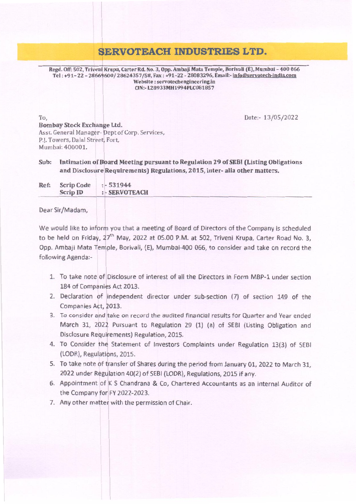## ~ERVOTEACH **INDUSTRIES LTD.**

Date:- 13/05/2022

Regd. Off: 502, Triveni Krupa, Carter Rd. No. 3, Opp. Ambaji Mata Temple, Borivali (E), Mumbai - 400 066 Tel: +91- 22 - 28669600/28624357/58, Fax: +91-22 - 28083296, Email:-lnfo®Seryotech-indja.com Website: servotechengineering.in CIN:-L28933MH1994PLC081857

To, Bombay Stock Exchange Ltd. Asst. General Manager- Dept of Corp. Services, P.J. Towers, Dalal Street, Fort, Mumbai: 400001.

Intimation of Board Meeting pursuant to Regulation 29 of SEBI (Listing Obligations and Disclosure Requirements) Regulations, 2015, inter- alia other matters. Sub:

Ref: Scrip Code :- 531944<br>Scrip ID :- SERVOT : - SERVOTEACH

Dear Sir/Madam,

We would like to inform you that a meeting of Board of Directors of the Company is scheduled to be held on Friday, 27<sup>th</sup> May, 2022 at 05.00 P.M. at 502, Triveni Krupa, Carter Road No. 3, Opp. Ambaji Mata Temple, Borivali, (E), Mumbai-400 066, to consider and take on record the following Agenda:- <sup>1</sup>

- 1. To take note oflDisclosure of interest of all the Directors in Form MBP-l under section 184 of Companies Act 2013.
- 2. Declaration of independent director under sub-section (7) of section 149 of the Companies Act, 2013.
- 3. To consider and take on record the audited financial results for Quarter and Year ended March 31, <sup>202</sup>1 Pursuant to Regulation 29 (1) (a) of SEBI (Listing Obligation and Disclosure Requirements) Regulation, 2015.
- 4. To Consider the Statement of Investors Complaints under Regulation 13(3) of SEBI (LODR), Regulations, 2015.
- 5. To take note of transfer of Shares during the period from January 01, 2022 to March 31, 2022 under Regulation 40(2) of SEBI (LODR), Regulations, 2015 if any.
- 6. Appointment of K S Chandrana& Co, Chartered Accountants as an internal Auditor of the Company for FY 2022-2023.
- 7. Any other matter with the permission of Chair.